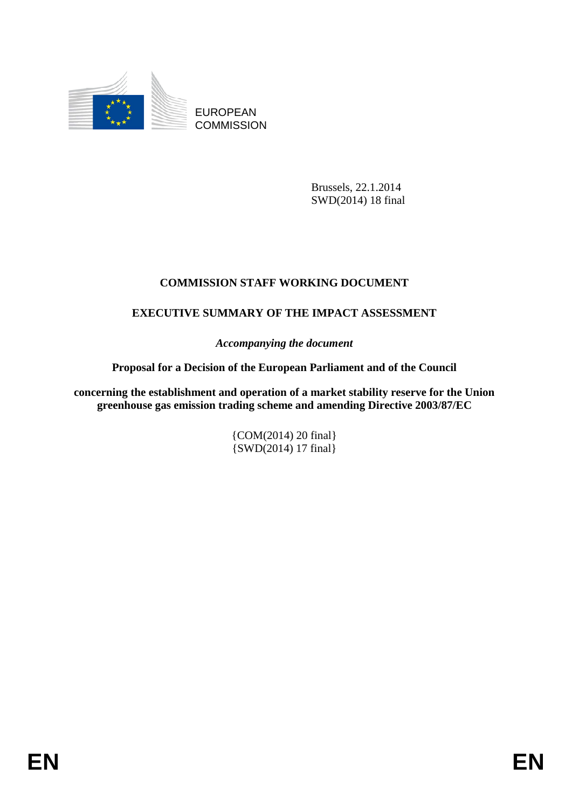

EUROPEAN **COMMISSION** 

> Brussels, 22.1.2014 SWD(2014) 18 final

# **COMMISSION STAFF WORKING DOCUMENT**

# **EXECUTIVE SUMMARY OF THE IMPACT ASSESSMENT**

*Accompanying the document* 

### **Proposal for a Decision of the European Parliament and of the Council**

**concerning the establishment and operation of a market stability reserve for the Union greenhouse gas emission trading scheme and amending Directive 2003/87/EC** 

> {COM(2014) 20 final} {SWD(2014) 17 final}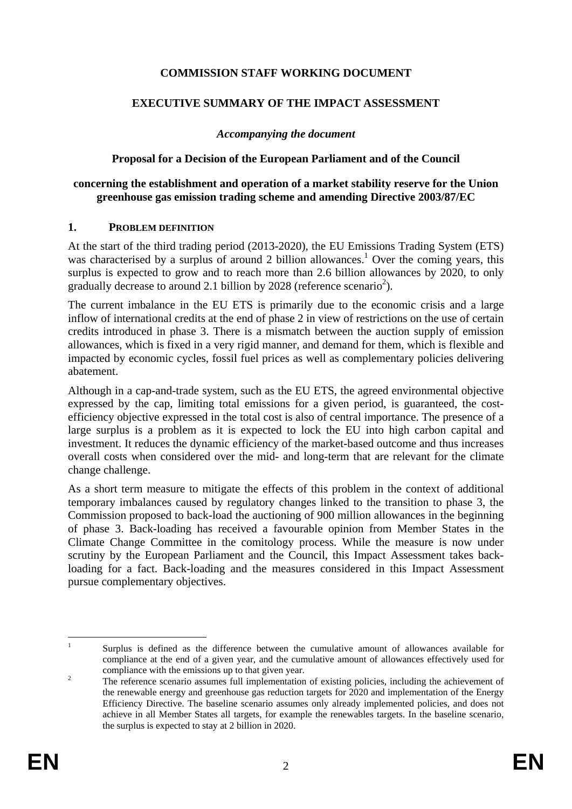## **COMMISSION STAFF WORKING DOCUMENT**

### **EXECUTIVE SUMMARY OF THE IMPACT ASSESSMENT**

### *Accompanying the document*

### **Proposal for a Decision of the European Parliament and of the Council**

### **concerning the establishment and operation of a market stability reserve for the Union greenhouse gas emission trading scheme and amending Directive 2003/87/EC**

#### **1. PROBLEM DEFINITION**

At the start of the third trading period (2013-2020), the EU Emissions Trading System (ETS) was characterised by a surplus of around 2 billion allowances.<sup>1</sup> Over the coming years, this surplus is expected to grow and to reach more than 2.6 billion allowances by 2020, to only gradually decrease to around 2.1 billion by 2028 (reference scenario<sup>2</sup>).

The current imbalance in the EU ETS is primarily due to the economic crisis and a large inflow of international credits at the end of phase 2 in view of restrictions on the use of certain credits introduced in phase 3. There is a mismatch between the auction supply of emission allowances, which is fixed in a very rigid manner, and demand for them, which is flexible and impacted by economic cycles, fossil fuel prices as well as complementary policies delivering abatement.

Although in a cap-and-trade system, such as the EU ETS, the agreed environmental objective expressed by the cap, limiting total emissions for a given period, is guaranteed, the costefficiency objective expressed in the total cost is also of central importance. The presence of a large surplus is a problem as it is expected to lock the EU into high carbon capital and investment. It reduces the dynamic efficiency of the market-based outcome and thus increases overall costs when considered over the mid- and long-term that are relevant for the climate change challenge.

As a short term measure to mitigate the effects of this problem in the context of additional temporary imbalances caused by regulatory changes linked to the transition to phase 3, the Commission proposed to back-load the auctioning of 900 million allowances in the beginning of phase 3. Back-loading has received a favourable opinion from Member States in the Climate Change Committee in the comitology process. While the measure is now under scrutiny by the European Parliament and the Council, this Impact Assessment takes backloading for a fact. Back-loading and the measures considered in this Impact Assessment pursue complementary objectives.

 $\frac{1}{1}$  Surplus is defined as the difference between the cumulative amount of allowances available for compliance at the end of a given year, and the cumulative amount of allowances effectively used for compliance with the emissions up to that given year.

The reference scenario assumes full implementation of existing policies, including the achievement of the renewable energy and greenhouse gas reduction targets for 2020 and implementation of the Energy Efficiency Directive. The baseline scenario assumes only already implemented policies, and does not achieve in all Member States all targets, for example the renewables targets. In the baseline scenario, the surplus is expected to stay at 2 billion in 2020.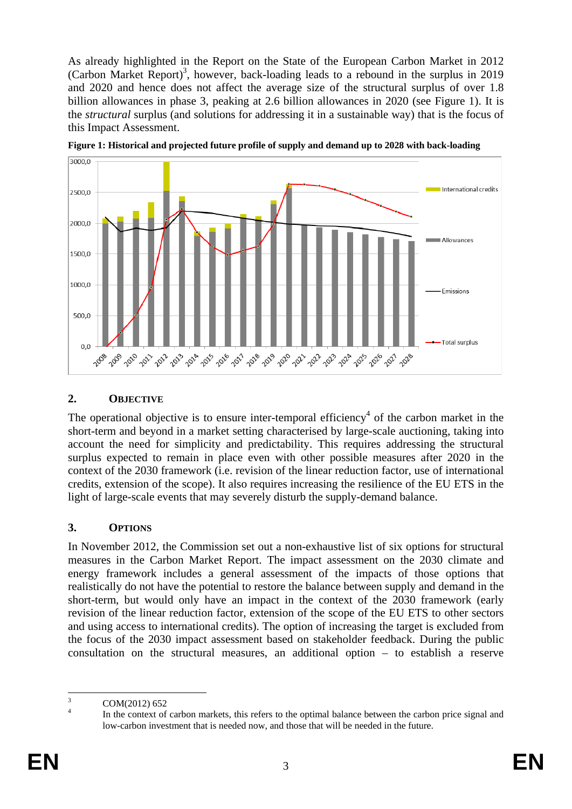As already highlighted in the Report on the State of the European Carbon Market in 2012 (Carbon Market Report)<sup>3</sup>, however, back-loading leads to a rebound in the surplus in 2019 and 2020 and hence does not affect the average size of the structural surplus of over 1.8 billion allowances in phase 3, peaking at 2.6 billion allowances in 2020 (see [Figure 1\)](#page-2-0). It is the *structural* surplus (and solutions for addressing it in a sustainable way) that is the focus of this Impact Assessment.

<span id="page-2-0"></span>

**Figure 1: Historical and projected future profile of supply and demand up to 2028 with back-loading** 

## **2. OBJECTIVE**

The operational objective is to ensure inter-temporal efficiency<sup>4</sup> of the carbon market in the short-term and beyond in a market setting characterised by large-scale auctioning, taking into account the need for simplicity and predictability. This requires addressing the structural surplus expected to remain in place even with other possible measures after 2020 in the context of the 2030 framework (i.e. revision of the linear reduction factor, use of international credits, extension of the scope). It also requires increasing the resilience of the EU ETS in the light of large-scale events that may severely disturb the supply-demand balance.

## **3. OPTIONS**

In November 2012, the Commission set out a non-exhaustive list of six options for structural measures in the Carbon Market Report. The impact assessment on the 2030 climate and energy framework includes a general assessment of the impacts of those options that realistically do not have the potential to restore the balance between supply and demand in the short-term, but would only have an impact in the context of the 2030 framework (early revision of the linear reduction factor, extension of the scope of the EU ETS to other sectors and using access to international credits). The option of increasing the target is excluded from the focus of the 2030 impact assessment based on stakeholder feedback. During the public consultation on the structural measures, an additional option – to establish a reserve

 $\frac{1}{3}$ COM(2012) 652

<sup>4</sup> In the context of carbon markets, this refers to the optimal balance between the carbon price signal and low-carbon investment that is needed now, and those that will be needed in the future.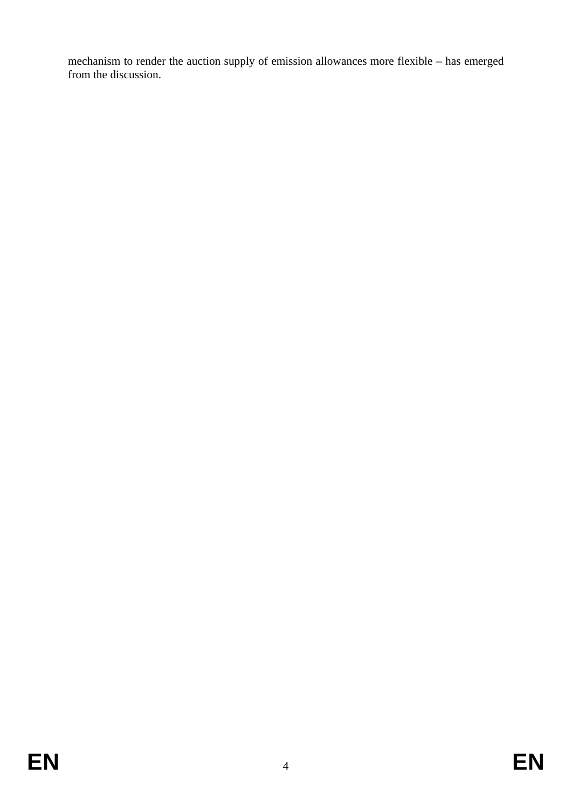mechanism to render the auction supply of emission allowances more flexible – has emerged from the discussion.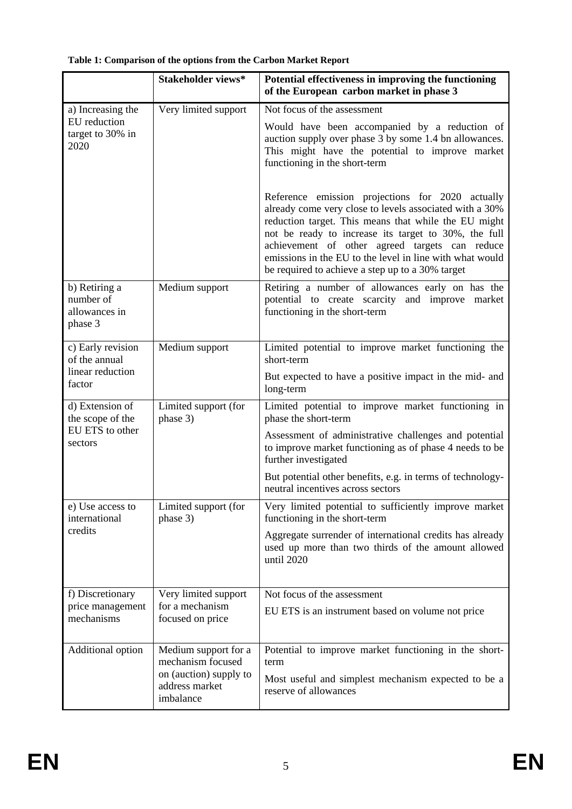|                                                                   | Stakeholder views*                                    | Potential effectiveness in improving the functioning<br>of the European carbon market in phase 3                                                                                                                                                                                                                                                                                              |
|-------------------------------------------------------------------|-------------------------------------------------------|-----------------------------------------------------------------------------------------------------------------------------------------------------------------------------------------------------------------------------------------------------------------------------------------------------------------------------------------------------------------------------------------------|
| a) Increasing the                                                 | Very limited support                                  | Not focus of the assessment                                                                                                                                                                                                                                                                                                                                                                   |
| EU reduction<br>target to 30% in<br>2020                          |                                                       | Would have been accompanied by a reduction of<br>auction supply over phase 3 by some 1.4 bn allowances.<br>This might have the potential to improve market<br>functioning in the short-term                                                                                                                                                                                                   |
|                                                                   |                                                       | Reference emission projections for 2020 actually<br>already come very close to levels associated with a 30%<br>reduction target. This means that while the EU might<br>not be ready to increase its target to 30%, the full<br>achievement of other agreed targets can reduce<br>emissions in the EU to the level in line with what would<br>be required to achieve a step up to a 30% target |
| b) Retiring a<br>number of<br>allowances in<br>phase 3            | Medium support                                        | Retiring a number of allowances early on has the<br>potential to create scarcity and improve market<br>functioning in the short-term                                                                                                                                                                                                                                                          |
| c) Early revision<br>of the annual                                | Medium support                                        | Limited potential to improve market functioning the<br>short-term                                                                                                                                                                                                                                                                                                                             |
| linear reduction<br>factor                                        |                                                       | But expected to have a positive impact in the mid- and<br>long-term                                                                                                                                                                                                                                                                                                                           |
| d) Extension of<br>the scope of the<br>EU ETS to other<br>sectors | Limited support (for<br>phase 3)                      | Limited potential to improve market functioning in<br>phase the short-term                                                                                                                                                                                                                                                                                                                    |
|                                                                   |                                                       | Assessment of administrative challenges and potential<br>to improve market functioning as of phase 4 needs to be<br>further investigated                                                                                                                                                                                                                                                      |
|                                                                   |                                                       | But potential other benefits, e.g. in terms of technology-<br>neutral incentives across sectors                                                                                                                                                                                                                                                                                               |
| e) Use access to<br>international<br>credits                      | Limited support (for<br>phase 3)                      | Very limited potential to sufficiently improve market<br>functioning in the short-term                                                                                                                                                                                                                                                                                                        |
|                                                                   |                                                       | Aggregate surrender of international credits has already<br>used up more than two thirds of the amount allowed<br>until 2020                                                                                                                                                                                                                                                                  |
| f) Discretionary                                                  | Very limited support                                  | Not focus of the assessment                                                                                                                                                                                                                                                                                                                                                                   |
| price management<br>mechanisms                                    | for a mechanism<br>focused on price                   | EU ETS is an instrument based on volume not price                                                                                                                                                                                                                                                                                                                                             |
| Additional option                                                 | Medium support for a                                  | Potential to improve market functioning in the short-                                                                                                                                                                                                                                                                                                                                         |
|                                                                   | mechanism focused                                     | term                                                                                                                                                                                                                                                                                                                                                                                          |
|                                                                   | on (auction) supply to<br>address market<br>imbalance | Most useful and simplest mechanism expected to be a<br>reserve of allowances                                                                                                                                                                                                                                                                                                                  |

# **Table 1: Comparison of the options from the Carbon Market Report**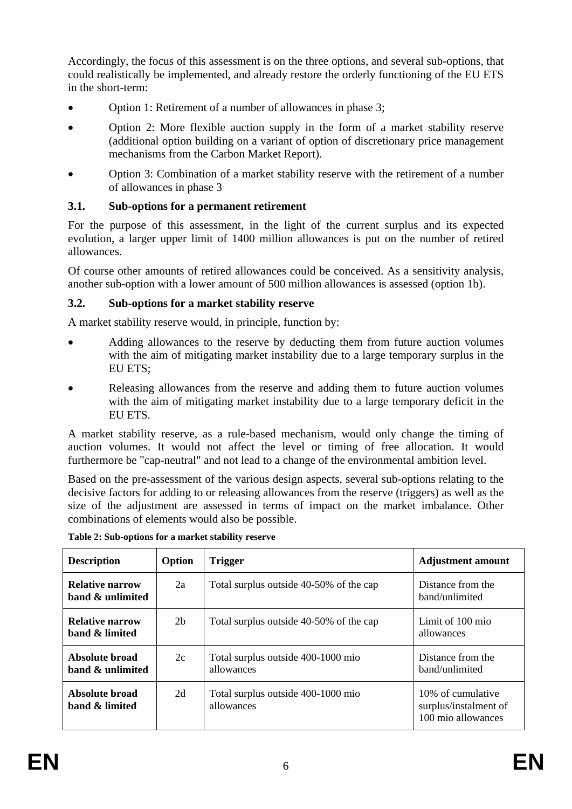Accordingly, the focus of this assessment is on the three options, and several sub-options, that could realistically be implemented, and already restore the orderly functioning of the EU ETS in the short-term:

- Option 1: Retirement of a number of allowances in phase 3;
- Option 2: More flexible auction supply in the form of a market stability reserve (additional option building on a variant of option of discretionary price management mechanisms from the Carbon Market Report).
- Option 3: Combination of a market stability reserve with the retirement of a number of allowances in phase 3

# **3.1. Sub-options for a permanent retirement**

For the purpose of this assessment, in the light of the current surplus and its expected evolution, a larger upper limit of 1400 million allowances is put on the number of retired allowances.

Of course other amounts of retired allowances could be conceived. As a sensitivity analysis, another sub-option with a lower amount of 500 million allowances is assessed (option 1b).

# **3.2. Sub-options for a market stability reserve**

A market stability reserve would, in principle, function by:

- Adding allowances to the reserve by deducting them from future auction volumes with the aim of mitigating market instability due to a large temporary surplus in the EU ETS;
- Releasing allowances from the reserve and adding them to future auction volumes with the aim of mitigating market instability due to a large temporary deficit in the EU ETS.

A market stability reserve, as a rule-based mechanism, would only change the timing of auction volumes. It would not affect the level or timing of free allocation. It would furthermore be "cap-neutral" and not lead to a change of the environmental ambition level.

Based on the pre-assessment of the various design aspects, several sub-options relating to the decisive factors for adding to or releasing allowances from the reserve (triggers) as well as the size of the adjustment are assessed in terms of impact on the market imbalance. Other combinations of elements would also be possible.

| <b>Description</b>                         | Option         | <b>Trigger</b>                                   | <b>Adjustment amount</b>                                         |
|--------------------------------------------|----------------|--------------------------------------------------|------------------------------------------------------------------|
| <b>Relative narrow</b><br>band & unlimited | 2a             | Total surplus outside 40-50% of the cap          | Distance from the<br>band/unlimited                              |
| Relative narrow<br>band & limited          | 2 <sub>b</sub> | Total surplus outside 40-50% of the cap          | Limit of 100 mio<br>allowances                                   |
| Absolute broad<br>band & unlimited         | 2c             | Total surplus outside 400-1000 mio<br>allowances | Distance from the<br>band/unlimited                              |
| Absolute broad<br>band & limited           | 2d             | Total surplus outside 400-1000 mio<br>allowances | 10% of cumulative<br>surplus/instalment of<br>100 mio allowances |

**Table 2: Sub-options for a market stability reserve**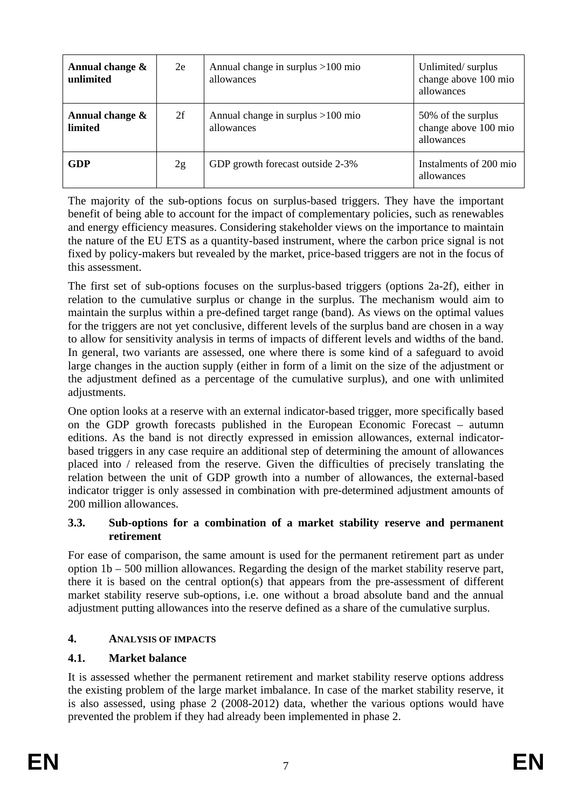| Annual change &<br>unlimited | 2e | Annual change in surplus $>100$ mio<br>allowances | Unlimited/surplus<br>change above 100 mio<br>allowances  |
|------------------------------|----|---------------------------------------------------|----------------------------------------------------------|
| Annual change &<br>limited   | 2f | Annual change in surplus $>100$ mio<br>allowances | 50% of the surplus<br>change above 100 mio<br>allowances |
| <b>GDP</b>                   | 2g | GDP growth forecast outside 2-3%                  | Instalments of 200 mio<br>allowances                     |

The majority of the sub-options focus on surplus-based triggers. They have the important benefit of being able to account for the impact of complementary policies, such as renewables and energy efficiency measures. Considering stakeholder views on the importance to maintain the nature of the EU ETS as a quantity-based instrument, where the carbon price signal is not fixed by policy-makers but revealed by the market, price-based triggers are not in the focus of this assessment.

The first set of sub-options focuses on the surplus-based triggers (options 2a-2f), either in relation to the cumulative surplus or change in the surplus. The mechanism would aim to maintain the surplus within a pre-defined target range (band). As views on the optimal values for the triggers are not yet conclusive, different levels of the surplus band are chosen in a way to allow for sensitivity analysis in terms of impacts of different levels and widths of the band. In general, two variants are assessed, one where there is some kind of a safeguard to avoid large changes in the auction supply (either in form of a limit on the size of the adjustment or the adjustment defined as a percentage of the cumulative surplus), and one with unlimited adjustments.

One option looks at a reserve with an external indicator-based trigger, more specifically based on the GDP growth forecasts published in the European Economic Forecast – autumn editions. As the band is not directly expressed in emission allowances, external indicatorbased triggers in any case require an additional step of determining the amount of allowances placed into / released from the reserve. Given the difficulties of precisely translating the relation between the unit of GDP growth into a number of allowances, the external-based indicator trigger is only assessed in combination with pre-determined adjustment amounts of 200 million allowances.

### **3.3. Sub-options for a combination of a market stability reserve and permanent retirement**

For ease of comparison, the same amount is used for the permanent retirement part as under option 1b – 500 million allowances. Regarding the design of the market stability reserve part, there it is based on the central option(s) that appears from the pre-assessment of different market stability reserve sub-options, i.e. one without a broad absolute band and the annual adjustment putting allowances into the reserve defined as a share of the cumulative surplus.

## **4. ANALYSIS OF IMPACTS**

# **4.1. Market balance**

It is assessed whether the permanent retirement and market stability reserve options address the existing problem of the large market imbalance. In case of the market stability reserve, it is also assessed, using phase 2 (2008-2012) data, whether the various options would have prevented the problem if they had already been implemented in phase 2.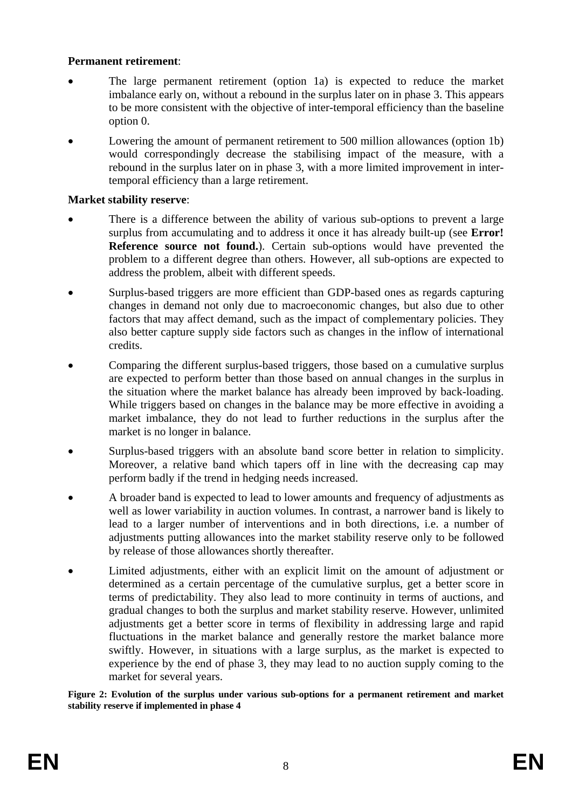### **Permanent retirement**:

- The large permanent retirement (option 1a) is expected to reduce the market imbalance early on, without a rebound in the surplus later on in phase 3. This appears to be more consistent with the objective of inter-temporal efficiency than the baseline option 0.
- Lowering the amount of permanent retirement to 500 million allowances (option 1b) would correspondingly decrease the stabilising impact of the measure, with a rebound in the surplus later on in phase 3, with a more limited improvement in intertemporal efficiency than a large retirement.

## **Market stability reserve**:

- There is a difference between the ability of various sub-options to prevent a large surplus from accumulating and to address it once it has already built-up (see **Error! Reference source not found.**). Certain sub-options would have prevented the problem to a different degree than others. However, all sub-options are expected to address the problem, albeit with different speeds.
- Surplus-based triggers are more efficient than GDP-based ones as regards capturing changes in demand not only due to macroeconomic changes, but also due to other factors that may affect demand, such as the impact of complementary policies. They also better capture supply side factors such as changes in the inflow of international credits.
- Comparing the different surplus-based triggers, those based on a cumulative surplus are expected to perform better than those based on annual changes in the surplus in the situation where the market balance has already been improved by back-loading. While triggers based on changes in the balance may be more effective in avoiding a market imbalance, they do not lead to further reductions in the surplus after the market is no longer in balance.
- Surplus-based triggers with an absolute band score better in relation to simplicity. Moreover, a relative band which tapers off in line with the decreasing cap may perform badly if the trend in hedging needs increased.
- A broader band is expected to lead to lower amounts and frequency of adjustments as well as lower variability in auction volumes. In contrast, a narrower band is likely to lead to a larger number of interventions and in both directions, i.e. a number of adjustments putting allowances into the market stability reserve only to be followed by release of those allowances shortly thereafter.
- Limited adjustments, either with an explicit limit on the amount of adjustment or determined as a certain percentage of the cumulative surplus, get a better score in terms of predictability. They also lead to more continuity in terms of auctions, and gradual changes to both the surplus and market stability reserve. However, unlimited adjustments get a better score in terms of flexibility in addressing large and rapid fluctuations in the market balance and generally restore the market balance more swiftly. However, in situations with a large surplus, as the market is expected to experience by the end of phase 3, they may lead to no auction supply coming to the market for several years.

**Figure 2: Evolution of the surplus under various sub-options for a permanent retirement and market stability reserve if implemented in phase 4**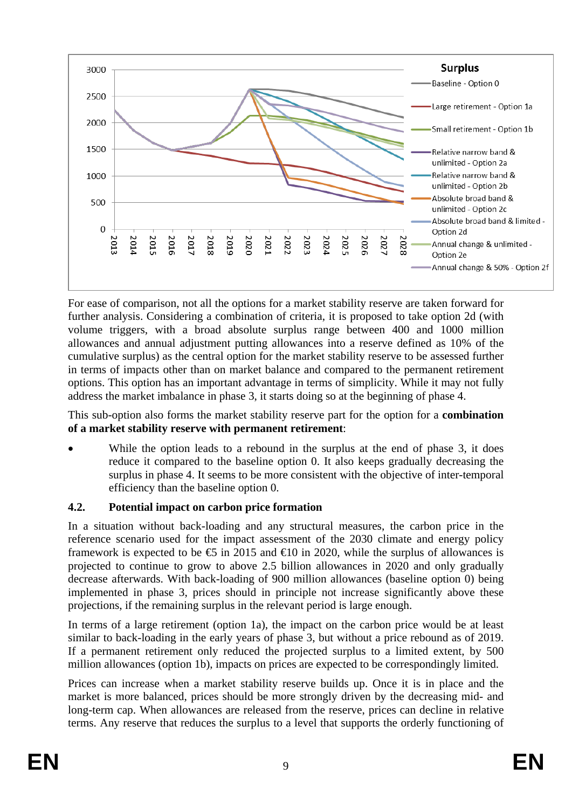

For ease of comparison, not all the options for a market stability reserve are taken forward for further analysis. Considering a combination of criteria, it is proposed to take option 2d (with volume triggers, with a broad absolute surplus range between 400 and 1000 million allowances and annual adjustment putting allowances into a reserve defined as 10% of the cumulative surplus) as the central option for the market stability reserve to be assessed further in terms of impacts other than on market balance and compared to the permanent retirement options. This option has an important advantage in terms of simplicity. While it may not fully address the market imbalance in phase 3, it starts doing so at the beginning of phase 4.

This sub-option also forms the market stability reserve part for the option for a **combination of a market stability reserve with permanent retirement**:

While the option leads to a rebound in the surplus at the end of phase 3, it does reduce it compared to the baseline option 0. It also keeps gradually decreasing the surplus in phase 4. It seems to be more consistent with the objective of inter-temporal efficiency than the baseline option 0.

# **4.2. Potential impact on carbon price formation**

In a situation without back-loading and any structural measures, the carbon price in the reference scenario used for the impact assessment of the 2030 climate and energy policy framework is expected to be  $\epsilon$  in 2015 and  $\epsilon$ 10 in 2020, while the surplus of allowances is projected to continue to grow to above 2.5 billion allowances in 2020 and only gradually decrease afterwards. With back-loading of 900 million allowances (baseline option 0) being implemented in phase 3, prices should in principle not increase significantly above these projections, if the remaining surplus in the relevant period is large enough.

In terms of a large retirement (option 1a), the impact on the carbon price would be at least similar to back-loading in the early years of phase 3, but without a price rebound as of 2019. If a permanent retirement only reduced the projected surplus to a limited extent, by 500 million allowances (option 1b), impacts on prices are expected to be correspondingly limited.

Prices can increase when a market stability reserve builds up. Once it is in place and the market is more balanced, prices should be more strongly driven by the decreasing mid- and long-term cap. When allowances are released from the reserve, prices can decline in relative terms. Any reserve that reduces the surplus to a level that supports the orderly functioning of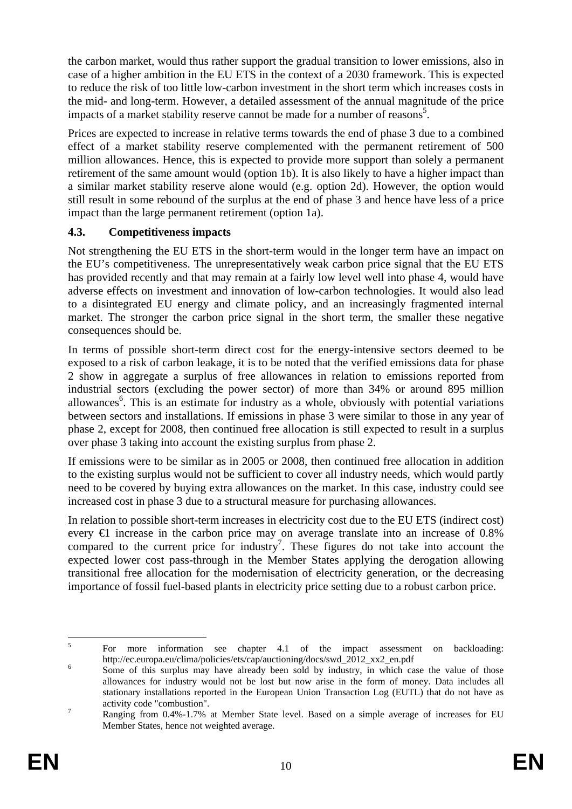the carbon market, would thus rather support the gradual transition to lower emissions, also in case of a higher ambition in the EU ETS in the context of a 2030 framework. This is expected to reduce the risk of too little low-carbon investment in the short term which increases costs in the mid- and long-term. However, a detailed assessment of the annual magnitude of the price impacts of a market stability reserve cannot be made for a number of reasons<sup>5</sup>.

Prices are expected to increase in relative terms towards the end of phase 3 due to a combined effect of a market stability reserve complemented with the permanent retirement of 500 million allowances. Hence, this is expected to provide more support than solely a permanent retirement of the same amount would (option 1b). It is also likely to have a higher impact than a similar market stability reserve alone would (e.g. option 2d). However, the option would still result in some rebound of the surplus at the end of phase 3 and hence have less of a price impact than the large permanent retirement (option 1a).

## **4.3. Competitiveness impacts**

Not strengthening the EU ETS in the short-term would in the longer term have an impact on the EU's competitiveness. The unrepresentatively weak carbon price signal that the EU ETS has provided recently and that may remain at a fairly low level well into phase 4, would have adverse effects on investment and innovation of low-carbon technologies. It would also lead to a disintegrated EU energy and climate policy, and an increasingly fragmented internal market. The stronger the carbon price signal in the short term, the smaller these negative consequences should be.

In terms of possible short-term direct cost for the energy-intensive sectors deemed to be exposed to a risk of carbon leakage, it is to be noted that the verified emissions data for phase 2 show in aggregate a surplus of free allowances in relation to emissions reported from industrial sectors (excluding the power sector) of more than 34% or around 895 million allowances<sup>6</sup>. This is an estimate for industry as a whole, obviously with potential variations between sectors and installations. If emissions in phase 3 were similar to those in any year of phase 2, except for 2008, then continued free allocation is still expected to result in a surplus over phase 3 taking into account the existing surplus from phase 2.

If emissions were to be similar as in 2005 or 2008, then continued free allocation in addition to the existing surplus would not be sufficient to cover all industry needs, which would partly need to be covered by buying extra allowances on the market. In this case, industry could see increased cost in phase 3 due to a structural measure for purchasing allowances.

In relation to possible short-term increases in electricity cost due to the EU ETS (indirect cost) every €1 increase in the carbon price may on average translate into an increase of 0.8% compared to the current price for industry<sup>7</sup>. These figures do not take into account the expected lower cost pass-through in the Member States applying the derogation allowing transitional free allocation for the modernisation of electricity generation, or the decreasing importance of fossil fuel-based plants in electricity price setting due to a robust carbon price.

 $\frac{1}{5}$  For more information see chapter 4.1 of the impact assessment on backloading: http://ec.europa.eu/clima/policies/ets/cap/auctioning/docs/swd\_2012\_xx2\_en.pdf

Some of this surplus may have already been sold by industry, in which case the value of those allowances for industry would not be lost but now arise in the form of money. Data includes all stationary installations reported in the European Union Transaction Log (EUTL) that do not have as activity code "combustion".

Ranging from 0.4%-1.7% at Member State level. Based on a simple average of increases for EU Member States, hence not weighted average.